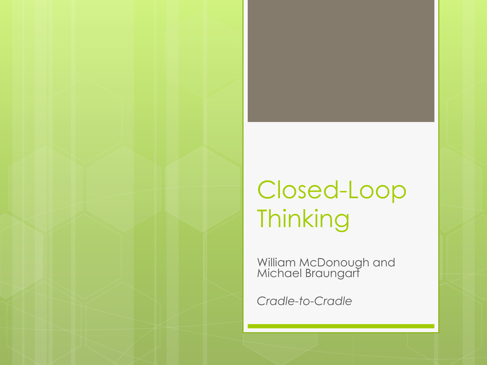## Closed-Loop **Thinking**

William McDonough and Michael Braungart

*Cradle-to-Cradle*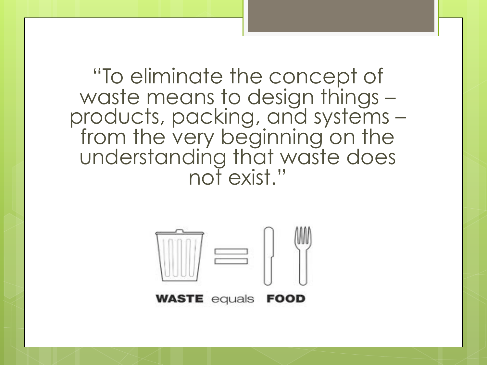"To eliminate the concept of waste means to design things – products, packing, and systems – from the very beginning on the understanding that waste does not exist."

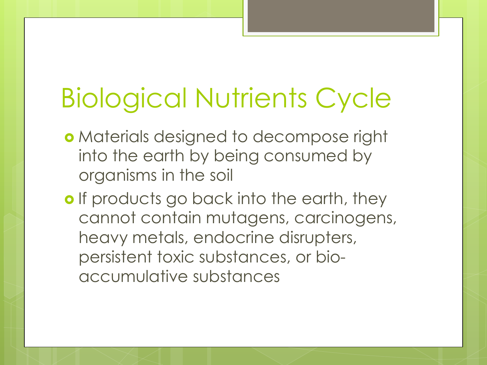# Biological Nutrients Cycle

- Materials designed to decompose right into the earth by being consumed by organisms in the soil
- o If products go back into the earth, they cannot contain mutagens, carcinogens, heavy metals, endocrine disrupters, persistent toxic substances, or bioaccumulative substances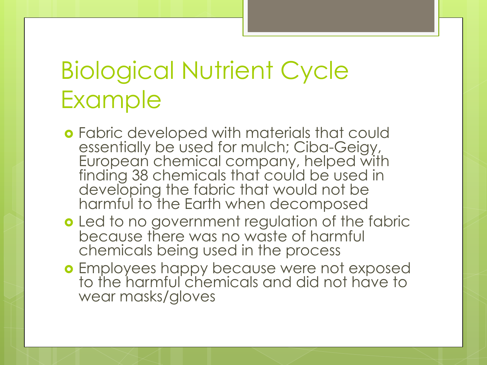## Biological Nutrient Cycle Example

- **o** Fabric developed with materials that could essentially be used for mulch; Ciba-Geigy, European chemical company, helped with finding 38 chemicals that could be used in developing the fabric that would not be harmful to the Earth when decomposed
- **o** Led to no government regulation of the fabric because there was no waste of harmful chemicals being used in the process
- Employees happy because were not exposed to the harmful chemicals and did not have to wear masks/gloves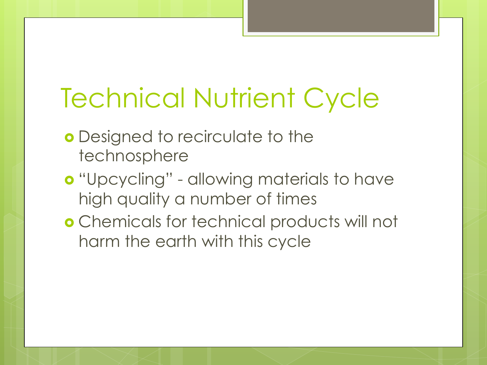# Technical Nutrient Cycle

- **o** Designed to recirculate to the technosphere
- **o** "Upcycling" allowing materials to have high quality a number of times
- Chemicals for technical products will not harm the earth with this cycle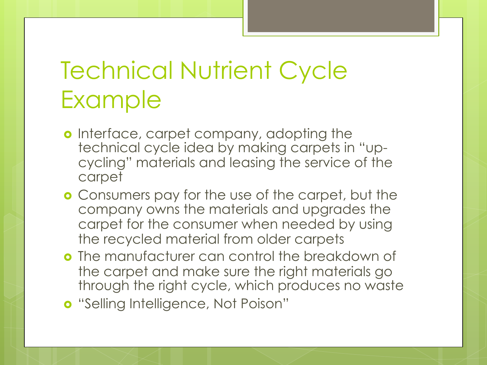## Technical Nutrient Cycle Example

- o Interface, carpet company, adopting the technical cycle idea by making carpets in "upcycling" materials and leasing the service of the carpet
- **o** Consumers pay for the use of the carpet, but the company owns the materials and upgrades the carpet for the consumer when needed by using the recycled material from older carpets
- **o** The manufacturer can control the breakdown of the carpet and make sure the right materials go through the right cycle, which produces no waste
- **o** "Selling Intelligence, Not Poison"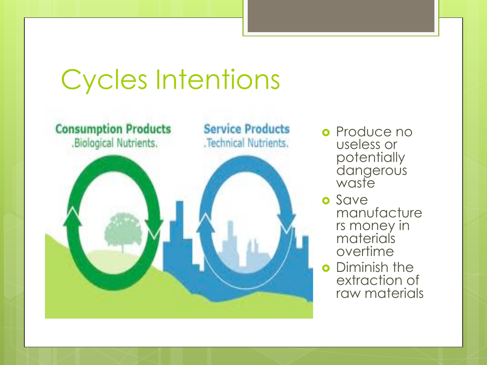# Cycles Intentions



**o** Produce no useless or potentially dangerous waste

- o Save manufacture rs money in materials overtime
- **o** Diminish the extraction of raw materials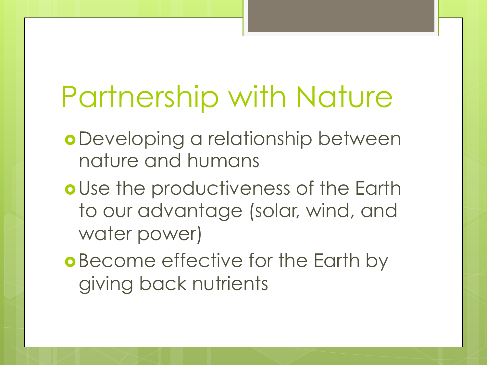# Partnership with Nature

- Developing a relationship between nature and humans
- o Use the productiveness of the Earth to our advantage (solar, wind, and water power)
- **o** Become effective for the Earth by giving back nutrients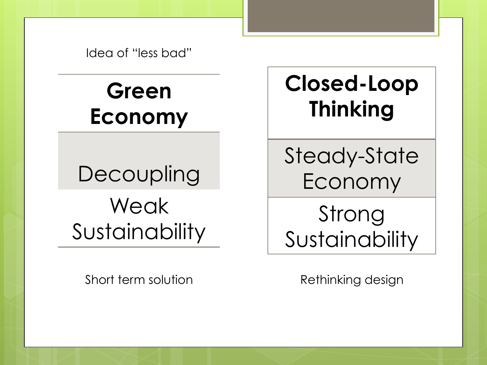Idea of "less bad"

#### **Green Economy**

## **Decoupling** Weak **Sustainability**

Short term solution **Rethinking design** 

#### **Closed-Loop Thinking**

Steady-State Economy

Strong Sustainability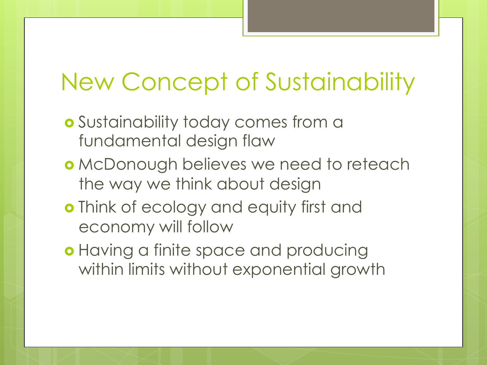#### New Concept of Sustainability

- Sustainability today comes from a fundamental design flaw
- McDonough believes we need to reteach the way we think about design
- o Think of ecology and equity first and economy will follow
- **o** Having a finite space and producing within limits without exponential growth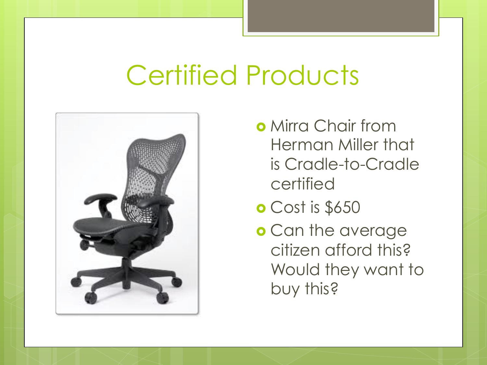## Certified Products



- **o** Mirra Chair from Herman Miller that is Cradle-to-Cradle certified
- Cost is \$650
- o Can the average citizen afford this? Would they want to buy this?